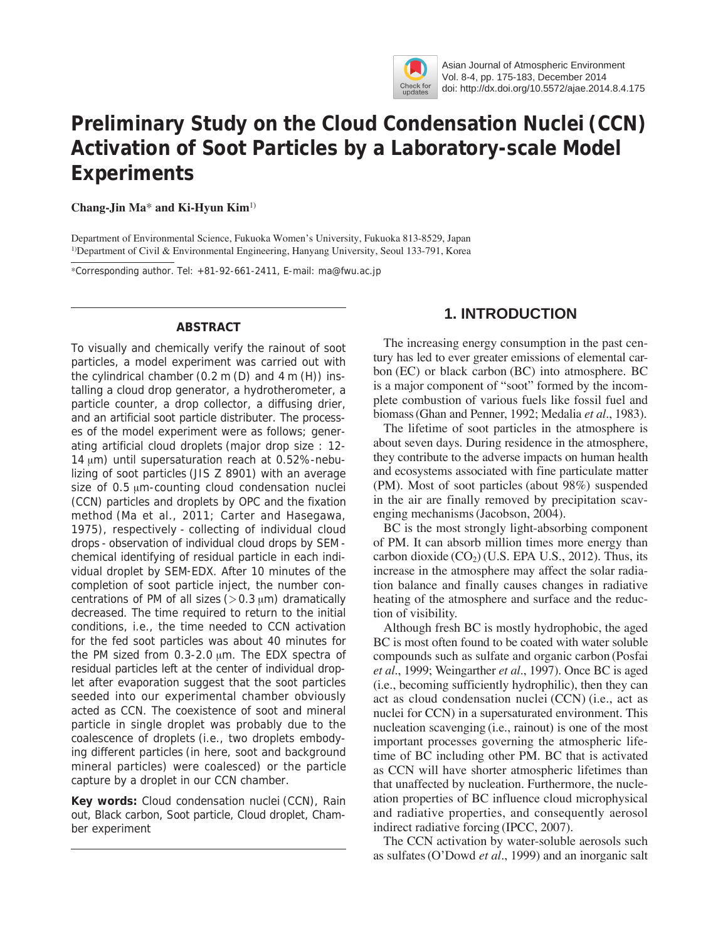

Asian Journal of Atmospheric Environment Vol. 8-4, pp. 175-183, December 2014 doi: http://dx.doi.org/10.5572/ajae.2014.8.4.175

# **Preliminary Study on the Cloud Condensation Nuclei (CCN) Activation of Soot Particles by a Laboratory-scale Model Experiments**

**Chang-Jin Ma**\* **and Ki-Hyun Kim**1)

Department of Environmental Science, Fukuoka Women's University, Fukuoka 813-8529, Japan 1)Department of Civil & Environmental Engineering, Hanyang University, Seoul 133-791, Korea

\*Corresponding author. Tel: +81-92-661-2411, E-mail: ma@fwu.ac.jp

## **ABSTRACT**

To visually and chemically verify the rainout of soot particles, a model experiment was carried out with the cylindrical chamber (0.2 m (D) and 4 m (H)) installing a cloud drop generator, a hydrotherometer, a particle counter, a drop collector, a diffusing drier, and an artificial soot particle distributer. The processes of the model experiment were as follows; generating artificial cloud droplets (major drop size : 12- 14 μm) until supersaturation reach at 0.52%-nebulizing of soot particles (JIS Z 8901) with an average size of 0.5 μm-counting cloud condensation nuclei (CCN) particles and droplets by OPC and the fixation method (Ma *et al.*, 2011; Carter and Hasegawa, 1975), respectively - collecting of individual cloud drops - observation of individual cloud drops by SEM chemical identifying of residual particle in each individual droplet by SEM-EDX. After 10 minutes of the completion of soot particle inject, the number concentrations of PM of all sizes ( $>0.3 \mu m$ ) dramatically decreased. The time required to return to the initial conditions, i.e., the time needed to CCN activation for the fed soot particles was about 40 minutes for the PM sized from 0.3-2.0 μm. The EDX spectra of residual particles left at the center of individual droplet after evaporation suggest that the soot particles seeded into our experimental chamber obviously acted as CCN. The coexistence of soot and mineral particle in single droplet was probably due to the coalescence of droplets (i.e., two droplets embodying different particles (in here, soot and background mineral particles) were coalesced) or the particle capture by a droplet in our CCN chamber.

**Key words:** Cloud condensation nuclei (CCN), Rain out, Black carbon, Soot particle, Cloud droplet, Chamber experiment

# **1. INTRODUCTION**

The increasing energy consumption in the past century has led to ever greater emissions of elemental carbon (EC) or black carbon (BC) into atmosphere. BC is a major component of "soot" formed by the incomplete combustion of various fuels like fossil fuel and biomass (Ghan and Penner, 1992; Medalia *et al.*, 1983).

The lifetime of soot particles in the atmosphere is about seven days. During residence in the atmosphere, they contribute to the adverse impacts on human health and ecosystems associated with fine particulate matter (PM). Most of soot particles (about 98%) suspended in the air are finally removed by precipitation scavenging mechanisms (Jacobson, 2004).

BC is the most strongly light-absorbing component of PM. It can absorb million times more energy than carbon dioxide  $(CO<sub>2</sub>)$  (U.S. EPA U.S., 2012). Thus, its increase in the atmosphere may affect the solar radiation balance and finally causes changes in radiative heating of the atmosphere and surface and the reduction of visibility.

Although fresh BC is mostly hydrophobic, the aged BC is most often found to be coated with water soluble compounds such as sulfate and organic carbon (Posfai *et al.*, 1999; Weingarther *et al.*, 1997). Once BC is aged (i.e., becoming sufficiently hydrophilic), then they can act as cloud condensation nuclei (CCN) (i.e., act as nuclei for CCN) in a supersaturated environment. This nucleation scavenging (i.e., rainout) is one of the most important processes governing the atmospheric lifetime of BC including other PM. BC that is activated as CCN will have shorter atmospheric lifetimes than that unaffected by nucleation. Furthermore, the nucleation properties of BC influence cloud microphysical and radiative properties, and consequently aerosol indirect radiative forcing (IPCC, 2007).

The CCN activation by water-soluble aerosols such as sulfates (O'Dowd *et al.*, 1999) and an inorganic salt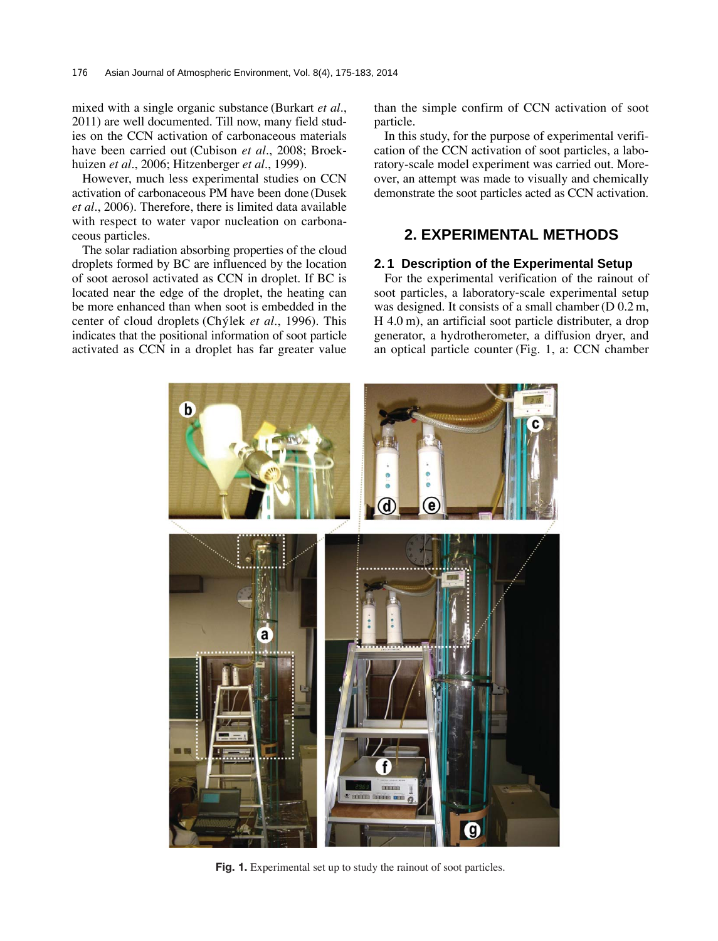mixed with a single organic substance (Burkart *et al.*, 2011) are well documented. Till now, many field studies on the CCN activation of carbonaceous materials have been carried out (Cubison *et al.*, 2008; Broekhuizen *et al.*, 2006; Hitzenberger *et al.*, 1999).

However, much less experimental studies on CCN activation of carbonaceous PM have been done (Dusek *et al.*, 2006). Therefore, there is limited data available with respect to water vapor nucleation on carbonaceous particles.

The solar radiation absorbing properties of the cloud droplets formed by BC are influenced by the location of soot aerosol activated as CCN in droplet. If BC is located near the edge of the droplet, the heating can be more enhanced than when soot is embedded in the center of cloud droplets (Chýlek et al., 1996). This indicates that the positional information of soot particle activated as CCN in a droplet has far greater value

than the simple confirm of CCN activation of soot particle.

In this study, for the purpose of experimental verification of the CCN activation of soot particles, a laboratory-scale model experiment was carried out. Moreover, an attempt was made to visually and chemically demonstrate the soot particles acted as CCN activation.

# **2. EXPERIMENTAL METHODS**

## **2. 1 Description of the Experimental Setup**

For the experimental verification of the rainout of soot particles, a laboratory-scale experimental setup was designed. It consists of a small chamber (D 0.2 m, H 4.0 m), an artificial soot particle distributer, a drop generator, a hydrotherometer, a diffusion dryer, and an optical particle counter (Fig. 1, a: CCN chamber



**Fig. 1.** Experimental set up to study the rainout of soot particles.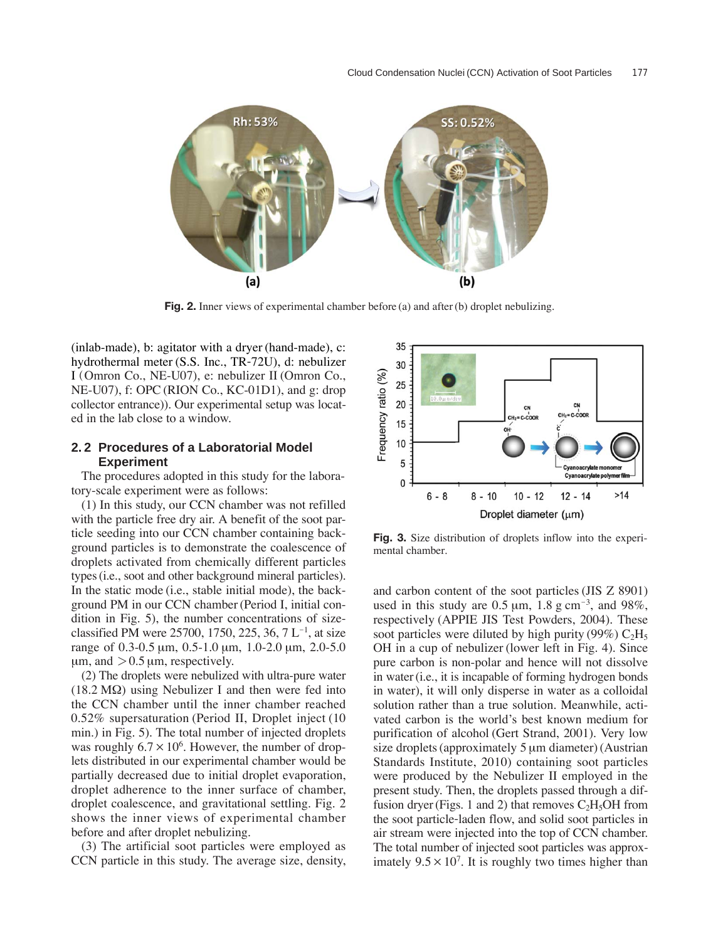

**Fig. 2.** Inner views of experimental chamber before (a) and after (b) droplet nebulizing.

(inlab-made), b: agitator with a dryer (hand-made), c: hydrothermal meter (S.S. Inc., TR-72U), d: nebulizer I (Omron Co., NE-U07), e: nebulizer II (Omron Co., NE-U07), f: OPC (RION Co., KC-01D1), and g: drop collector entrance)). Our experimental setup was located in the lab close to a window.

## **2. 2 Procedures of a Laboratorial Model Experiment**

The procedures adopted in this study for the laboratory-scale experiment were as follows:

(1) In this study, our CCN chamber was not refilled with the particle free dry air. A benefit of the soot particle seeding into our CCN chamber containing background particles is to demonstrate the coalescence of droplets activated from chemically different particles types (i.e., soot and other background mineral particles). In the static mode (i.e., stable initial mode), the background PM in our CCN chamber (Period I, initial condition in Fig. 5), the number concentrations of sizeclassified PM were 25700, 1750, 225, 36, 7 $L^{-1}$ , at size range of 0.3-0.5 μm, 0.5-1.0 μm, 1.0-2.0 μm, 2.0-5.0  $\mu$ m, and  $> 0.5 \mu$ m, respectively.

(2) The droplets were nebulized with ultra-pure water (18.2 M $\Omega$ ) using Nebulizer I and then were fed into the CCN chamber until the inner chamber reached 0.52% supersaturation (Period II, Droplet inject (10 min.) in Fig. 5). The total number of injected droplets was roughly  $6.7 \times 10^6$ . However, the number of droplets distributed in our experimental chamber would be partially decreased due to initial droplet evaporation, droplet adherence to the inner surface of chamber, droplet coalescence, and gravitational settling. Fig. 2 shows the inner views of experimental chamber before and after droplet nebulizing.

(3) The artificial soot particles were employed as CCN particle in this study. The average size, density,



**Fig. 3.** Size distribution of droplets inflow into the experimental chamber.

and carbon content of the soot particles (JIS Z 8901) used in this study are  $0.5 \mu m$ ,  $1.8 \text{ g cm}^{-3}$ , and  $98\%$ , respectively (APPIE JIS Test Powders, 2004). These soot particles were diluted by high purity (99%)  $C_2H_5$ OH in a cup of nebulizer (lower left in Fig. 4). Since pure carbon is non-polar and hence will not dissolve in water (i.e., it is incapable of forming hydrogen bonds in water), it will only disperse in water as a colloidal solution rather than a true solution. Meanwhile, activated carbon is the world's best known medium for purification of alcohol (Gert Strand, 2001). Very low size droplets (approximately 5 μm diameter) (Austrian Standards Institute, 2010) containing soot particles were produced by the Nebulizer II employed in the present study. Then, the droplets passed through a diffusion dryer (Figs. 1 and 2) that removes  $C_2H_5OH$  from the soot particle-laden flow, and solid soot particles in air stream were injected into the top of CCN chamber. The total number of injected soot particles was approximately  $9.5 \times 10^7$ . It is roughly two times higher than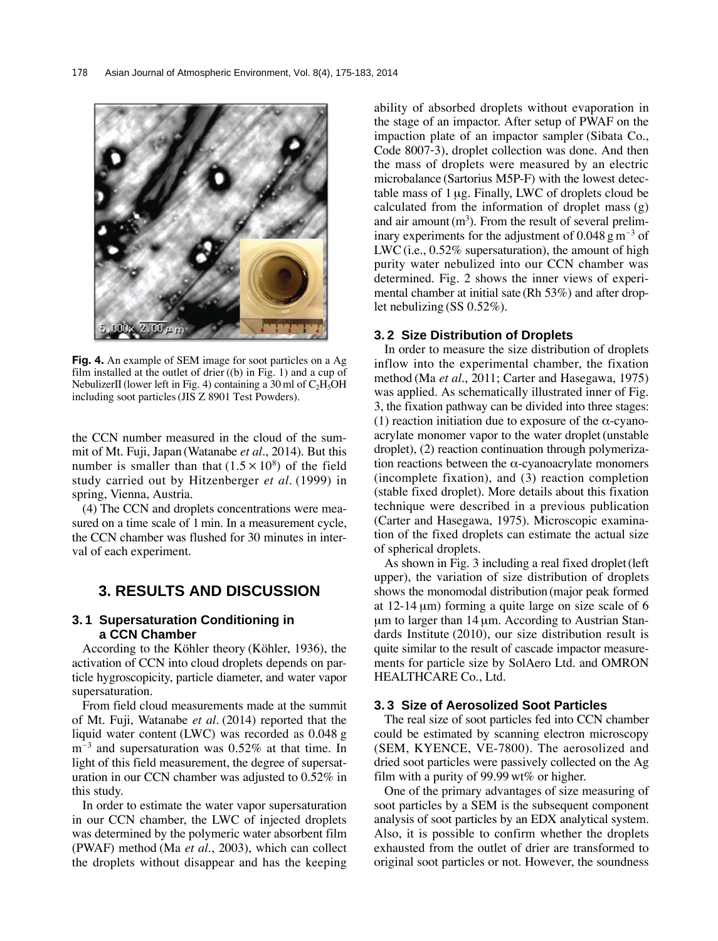

**Fig. 4.** An example of SEM image for soot particles on a Ag film installed at the outlet of drier ((b) in Fig. 1) and a cup of NebulizerII (lower left in Fig. 4) containing a 30 ml of  $C_2H_5OH$ including soot particles (JIS Z 8901 Test Powders).

the CCN number measured in the cloud of the summit of Mt. Fuji, Japan (Watanabe *et al.*, 2014). But this number is smaller than that  $(1.5 \times 10^8)$  of the field study carried out by Hitzenberger *et al.* (1999) in spring, Vienna, Austria.

(4) The CCN and droplets concentrations were measured on a time scale of 1 min. In a measurement cycle, the CCN chamber was flushed for 30 minutes in interval of each experiment.

## **3. RESULTS AND DISCUSSION**

## **3. 1 Supersaturation Conditioning in a CCN Chamber**

According to the Köhler theory (Köhler, 1936), the activation of CCN into cloud droplets depends on particle hygroscopicity, particle diameter, and water vapor supersaturation.

From field cloud measurements made at the summit of Mt. Fuji, Watanabe *et al.* (2014) reported that the liquid water content (LWC) was recorded as 0.048 g  $m^{-3}$  and supersaturation was 0.52% at that time. In light of this field measurement, the degree of supersaturation in our CCN chamber was adjusted to 0.52% in this study.

In order to estimate the water vapor supersaturation in our CCN chamber, the LWC of injected droplets was determined by the polymeric water absorbent film (PWAF) method (Ma *et al.*, 2003), which can collect the droplets without disappear and has the keeping ability of absorbed droplets without evaporation in the stage of an impactor. After setup of PWAF on the impaction plate of an impactor sampler (Sibata Co., Code 8007-3), droplet collection was done. And then the mass of droplets were measured by an electric microbalance (Sartorius M5P-F) with the lowest detectable mass of 1 μg. Finally, LWC of droplets cloud be calculated from the information of droplet mass (g) and air amount  $(m<sup>3</sup>)$ . From the result of several preliminary experiments for the adjustment of 0.048 g  $\text{m}^{-3}$  of LWC (i.e., 0.52% supersaturation), the amount of high purity water nebulized into our CCN chamber was determined. Fig. 2 shows the inner views of experimental chamber at initial sate (Rh 53%) and after droplet nebulizing (SS 0.52%).

#### **3. 2 Size Distribution of Droplets**

In order to measure the size distribution of droplets inflow into the experimental chamber, the fixation method (Ma *et al.*, 2011; Carter and Hasegawa, 1975) was applied. As schematically illustrated inner of Fig. 3, the fixation pathway can be divided into three stages: (1) reaction initiation due to exposure of the  $\alpha$ -cyanoacrylate monomer vapor to the water droplet (unstable droplet), (2) reaction continuation through polymerization reactions between the α-cyanoacrylate monomers (incomplete fixation), and (3) reaction completion (stable fixed droplet). More details about this fixation technique were described in a previous publication (Carter and Hasegawa, 1975). Microscopic examination of the fixed droplets can estimate the actual size of spherical droplets.

As shown in Fig. 3 including a real fixed droplet (left upper), the variation of size distribution of droplets shows the monomodal distribution (major peak formed at 12-14 μm) forming a quite large on size scale of 6 μm to larger than 14 μm. According to Austrian Standards Institute (2010), our size distribution result is quite similar to the result of cascade impactor measurements for particle size by SolAero Ltd. and OMRON HEALTHCARE Co., Ltd.

## **3. 3 Size of Aerosolized Soot Particles**

The real size of soot particles fed into CCN chamber could be estimated by scanning electron microscopy (SEM, KYENCE, VE-7800). The aerosolized and dried soot particles were passively collected on the Ag film with a purity of 99.99 wt% or higher.

One of the primary advantages of size measuring of soot particles by a SEM is the subsequent component analysis of soot particles by an EDX analytical system. Also, it is possible to confirm whether the droplets exhausted from the outlet of drier are transformed to original soot particles or not. However, the soundness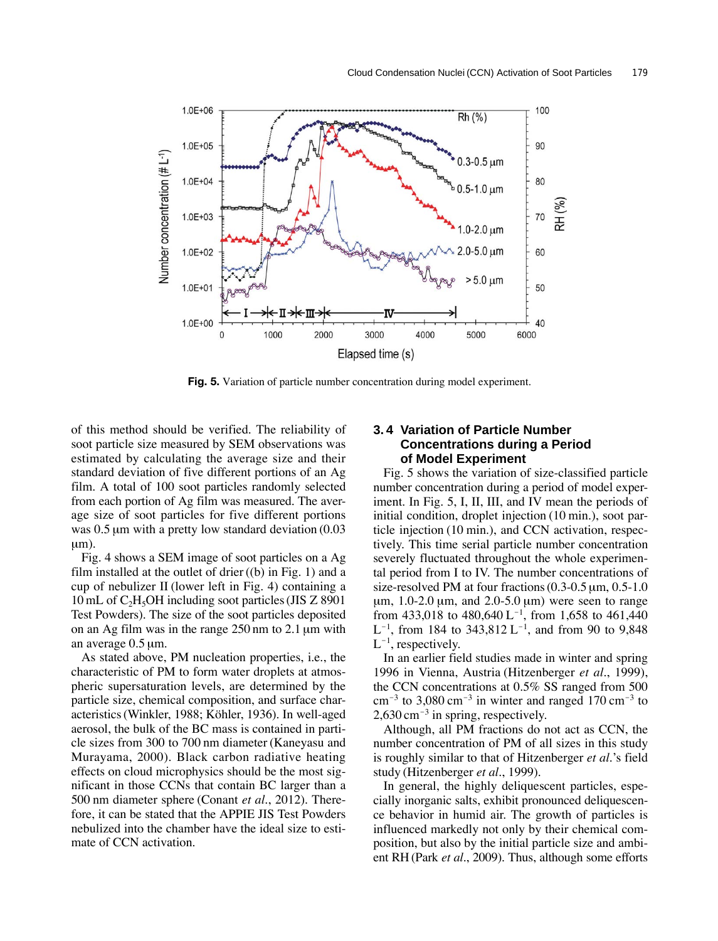

**Fig. 5.** Variation of particle number concentration during model experiment.

of this method should be verified. The reliability of soot particle size measured by SEM observations was estimated by calculating the average size and their standard deviation of five different portions of an Ag film. A total of 100 soot particles randomly selected from each portion of Ag film was measured. The average size of soot particles for five different portions was 0.5 μm with a pretty low standard deviation (0.03 μm).

Fig. 4 shows a SEM image of soot particles on a Ag film installed at the outlet of drier  $((b)$  in Fig. 1) and a cup of nebulizer II (lower left in Fig. 4) containing a 10 mL of  $C_2H_5OH$  including soot particles (JIS Z 8901) Test Powders). The size of the soot particles deposited on an Ag film was in the range 250 nm to 2.1 μm with an average 0.5 μm.

As stated above, PM nucleation properties, i.e., the characteristic of PM to form water droplets at atmospheric supersaturation levels, are determined by the particle size, chemical composition, and surface characteristics (Winkler, 1988; Köhler, 1936). In well-aged aerosol, the bulk of the BC mass is contained in particle sizes from 300 to 700 nm diameter (Kaneyasu and Murayama, 2000). Black carbon radiative heating effects on cloud microphysics should be the most significant in those CCNs that contain BC larger than a 500 nm diameter sphere (Conant *et al.*, 2012). Therefore, it can be stated that the APPIE JIS Test Powders nebulized into the chamber have the ideal size to estimate of CCN activation.

## **3. 4 Variation of Particle Number Concentrations during a Period of Model Experiment**

Fig. 5 shows the variation of size-classified particle number concentration during a period of model experiment. In Fig. 5, I, II, III, and IV mean the periods of initial condition, droplet injection (10 min.), soot particle injection (10 min.), and CCN activation, respectively. This time serial particle number concentration severely fluctuated throughout the whole experimental period from I to IV. The number concentrations of size-resolved PM at four fractions (0.3-0.5 μm, 0.5-1.0 μm,  $1.0\n-2.0$  μm, and  $2.0\n-5.0$  μm) were seen to range from 433,018 to 480,640 L<sup>-1</sup>, from 1,658 to 461,440  $L^{-1}$ , from 184 to 343,812  $L^{-1}$ , and from 90 to 9,848  $L^{-1}$ , respectively.

In an earlier field studies made in winter and spring 1996 in Vienna, Austria (Hitzenberger *et al.*, 1999), the CCN concentrations at 0.5% SS ranged from 500  $cm^{-3}$  to 3,080 cm<sup>-3</sup> in winter and ranged 170 cm<sup>-3</sup> to  $2,630 \text{ cm}^{-3}$  in spring, respectively.

Although, all PM fractions do not act as CCN, the number concentration of PM of all sizes in this study is roughly similar to that of Hitzenberger *et al.*'s field study (Hitzenberger *et al.*, 1999).

In general, the highly deliquescent particles, especially inorganic salts, exhibit pronounced deliquescence behavior in humid air. The growth of particles is influenced markedly not only by their chemical composition, but also by the initial particle size and ambient RH (Park *et al.*, 2009). Thus, although some efforts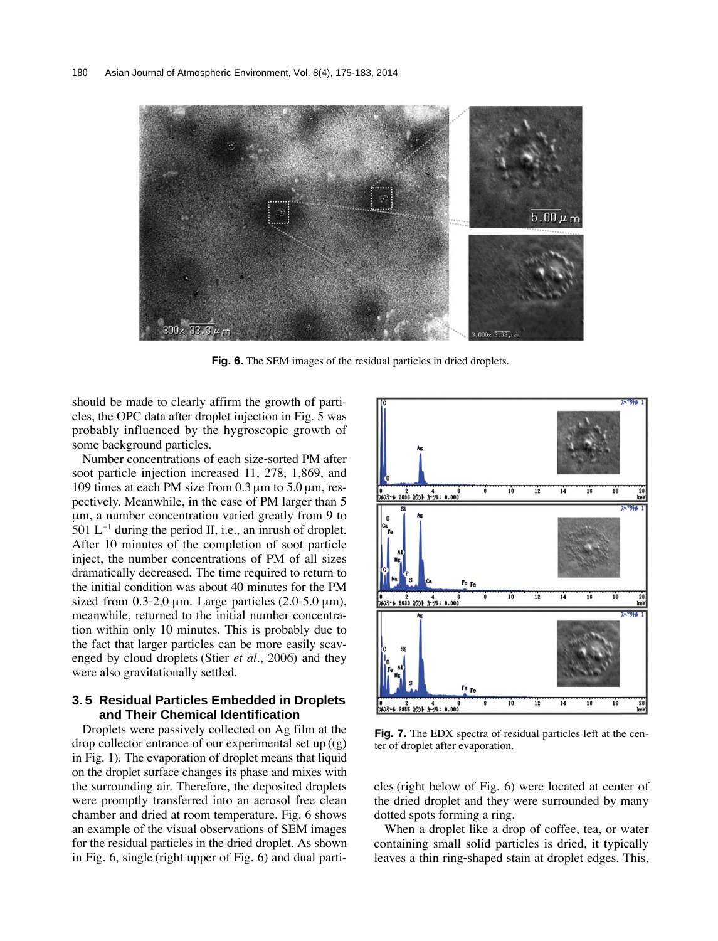

**Fig. 6.** The SEM images of the residual particles in dried droplets.

should be made to clearly affirm the growth of particles, the OPC data after droplet injection in Fig. 5 was probably influenced by the hygroscopic growth of some background particles.

Number concentrations of each size-sorted PM after soot particle injection increased 11, 278, 1,869, and 109 times at each PM size from  $0.3 \mu$ m to  $5.0 \mu$ m, respectively. Meanwhile, in the case of PM larger than 5 μm, a number concentration varied greatly from 9 to 501  $L^{-1}$  during the period II, i.e., an inrush of droplet. After 10 minutes of the completion of soot particle inject, the number concentrations of PM of all sizes dramatically decreased. The time required to return to the initial condition was about 40 minutes for the PM sized from  $0.3-2.0 \mu m$ . Large particles  $(2.0-5.0 \mu m)$ , meanwhile, returned to the initial number concentration within only 10 minutes. This is probably due to the fact that larger particles can be more easily scavenged by cloud droplets (Stier *et al.*, 2006) and they were also gravitationally settled.

## **3. 5 Residual Particles Embedded in Droplets and Their Chemical Identification**

Droplets were passively collected on Ag film at the drop collector entrance of our experimental set up $((g))$ in Fig. 1). The evaporation of droplet means that liquid on the droplet surface changes its phase and mixes with the surrounding air. Therefore, the deposited droplets were promptly transferred into an aerosol free clean chamber and dried at room temperature. Fig. 6 shows an example of the visual observations of SEM images for the residual particles in the dried droplet. As shown in Fig. 6, single (right upper of Fig. 6) and dual parti-



**Fig. 7.** The EDX spectra of residual particles left at the center of droplet after evaporation.

cles (right below of Fig. 6) were located at center of the dried droplet and they were surrounded by many dotted spots forming a ring.

When a droplet like a drop of coffee, tea, or water containing small solid particles is dried, it typically leaves a thin ring-shaped stain at droplet edges. This,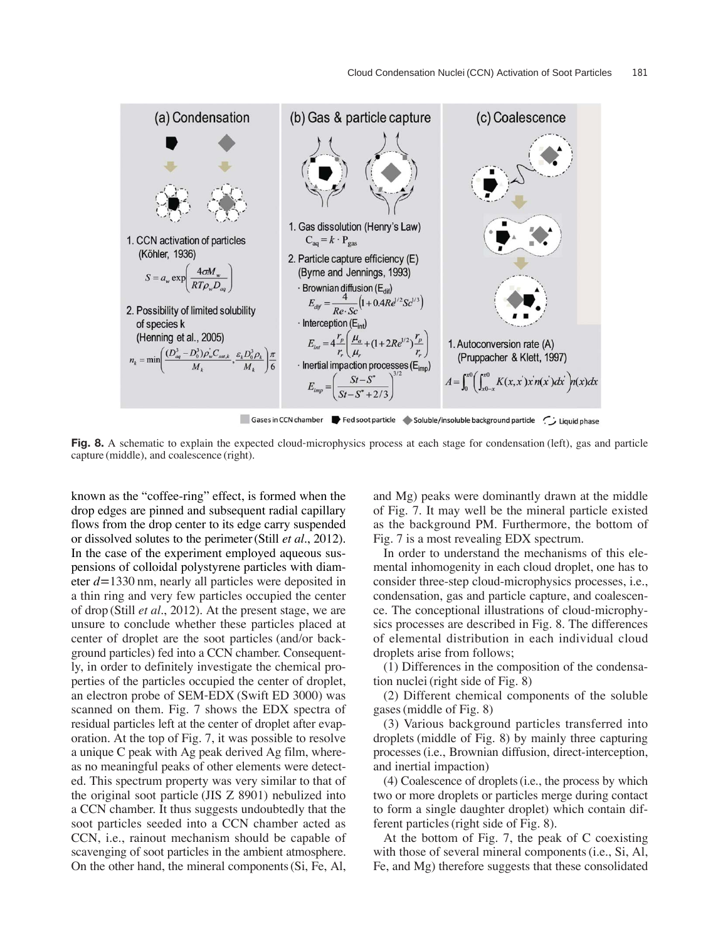

Fig. 8. A schematic to explain the expected cloud-microphysics process at each stage for condensation (left), gas and particle capture (middle), and coalescence (right).

known as the "coffee-ring" effect, is formed when the drop edges are pinned and subsequent radial capillary flows from the drop center to its edge carry suspended or dissolved solutes to the perimeter (Still *et al.*, 2012). In the case of the experiment employed aqueous suspensions of colloidal polystyrene particles with diameter *d*=1330 nm, nearly all particles were deposited in a thin ring and very few particles occupied the center of drop (Still *et al.*, 2012). At the present stage, we are unsure to conclude whether these particles placed at center of droplet are the soot particles (and/or background particles) fed into a CCN chamber. Consequently, in order to definitely investigate the chemical properties of the particles occupied the center of droplet, an electron probe of SEM-EDX (Swift ED 3000) was scanned on them. Fig. 7 shows the EDX spectra of residual particles left at the center of droplet after evaporation. At the top of Fig. 7, it was possible to resolve a unique C peak with Ag peak derived Ag film, whereas no meaningful peaks of other elements were detected. This spectrum property was very similar to that of the original soot particle (JIS Z 8901) nebulized into a CCN chamber. It thus suggests undoubtedly that the soot particles seeded into a CCN chamber acted as CCN, i.e., rainout mechanism should be capable of scavenging of soot particles in the ambient atmosphere. On the other hand, the mineral components (Si, Fe, Al,

and Mg) peaks were dominantly drawn at the middle of Fig. 7. It may well be the mineral particle existed as the background PM. Furthermore, the bottom of Fig. 7 is a most revealing EDX spectrum.

In order to understand the mechanisms of this elemental inhomogenity in each cloud droplet, one has to consider three-step cloud-microphysics processes, i.e., condensation, gas and particle capture, and coalescence. The conceptional illustrations of cloud-microphysics processes are described in Fig. 8. The differences of elemental distribution in each individual cloud droplets arise from follows;

(1) Differences in the composition of the condensation nuclei (right side of Fig. 8)

(2) Different chemical components of the soluble gases (middle of Fig. 8)

(3) Various background particles transferred into droplets (middle of Fig. 8) by mainly three capturing processes (i.e., Brownian diffusion, direct-interception, and inertial impaction)

(4) Coalescence of droplets (i.e., the process by which two or more droplets or particles merge during contact to form a single daughter droplet) which contain different particles (right side of Fig. 8).

At the bottom of Fig. 7, the peak of C coexisting with those of several mineral components (i.e., Si, Al, Fe, and Mg) therefore suggests that these consolidated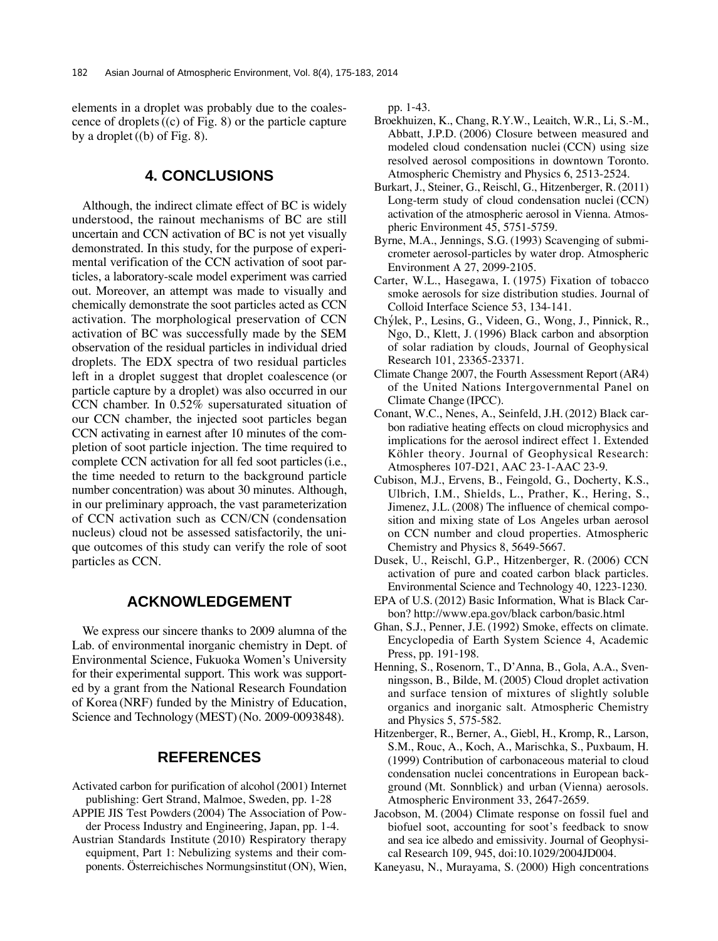elements in a droplet was probably due to the coalescence of droplets ((c) of Fig. 8) or the particle capture by a droplet  $((b)$  of Fig. 8).

# **4. CONCLUSIONS**

Although, the indirect climate effect of BC is widely understood, the rainout mechanisms of BC are still uncertain and CCN activation of BC is not yet visually demonstrated. In this study, for the purpose of experimental verification of the CCN activation of soot particles, a laboratory-scale model experiment was carried out. Moreover, an attempt was made to visually and chemically demonstrate the soot particles acted as CCN activation. The morphological preservation of CCN activation of BC was successfully made by the SEM observation of the residual particles in individual dried droplets. The EDX spectra of two residual particles left in a droplet suggest that droplet coalescence (or particle capture by a droplet) was also occurred in our CCN chamber. In 0.52% supersaturated situation of our CCN chamber, the injected soot particles began CCN activating in earnest after 10 minutes of the completion of soot particle injection. The time required to complete CCN activation for all fed soot particles (i.e., the time needed to return to the background particle number concentration) was about 30 minutes. Although, in our preliminary approach, the vast parameterization of CCN activation such as CCN/CN (condensation nucleus) cloud not be assessed satisfactorily, the unique outcomes of this study can verify the role of soot particles as CCN.

## **ACKNOWLEDGEMENT**

We express our sincere thanks to 2009 alumna of the Lab. of environmental inorganic chemistry in Dept. of Environmental Science, Fukuoka Women's University for their experimental support. This work was supported by a grant from the National Research Foundation of Korea (NRF) funded by the Ministry of Education, Science and Technology (MEST) (No. 2009-0093848).

## **REFERENCES**

Activated carbon for purification of alcohol (2001) Internet publishing: Gert Strand, Malmoe, Sweden, pp. 1-28 APPIE JIS Test Powders (2004) The Association of Pow-

der Process Industry and Engineering, Japan, pp. 1-4.

Austrian Standards Institute (2010) Respiratory therapy equipment, Part 1: Nebulizing systems and their components. Österreichisches Normungsinstitut (ON), Wien, pp. 1-43.

- Broekhuizen, K., Chang, R.Y.W., Leaitch, W.R., Li, S.-M., Abbatt, J.P.D. (2006) Closure between measured and modeled cloud condensation nuclei (CCN) using size resolved aerosol compositions in downtown Toronto. Atmospheric Chemistry and Physics 6, 2513-2524.
- Burkart, J., Steiner, G., Reischl, G., Hitzenberger, R. (2011) Long-term study of cloud condensation nuclei (CCN) activation of the atmospheric aerosol in Vienna. Atmospheric Environment 45, 5751-5759.
- Byrne, M.A., Jennings, S.G. (1993) Scavenging of submicrometer aerosol-particles by water drop. Atmospheric Environment A 27, 2099-2105.
- Carter, W.L., Hasegawa, I. (1975) Fixation of tobacco smoke aerosols for size distribution studies. Journal of Colloid Interface Science 53, 134-141.
- Chylek, P., Lesins, G., Videen, G., Wong, J., Pinnick, R., ′ Ngo, D., Klett, J. (1996) Black carbon and absorption of solar radiation by clouds, Journal of Geophysical Research 101, 23365-23371.
- Climate Change 2007, the Fourth Assessment Report (AR4) of the United Nations Intergovernmental Panel on Climate Change (IPCC).
- Conant, W.C., Nenes, A., Seinfeld, J.H. (2012) Black carbon radiative heating effects on cloud microphysics and implications for the aerosol indirect effect 1. Extended Köhler theory. Journal of Geophysical Research: Atmospheres 107-D21, AAC 23-1-AAC 23-9.
- Cubison, M.J., Ervens, B., Feingold, G., Docherty, K.S., Ulbrich, I.M., Shields, L., Prather, K., Hering, S., Jimenez, J.L. (2008) The influence of chemical composition and mixing state of Los Angeles urban aerosol on CCN number and cloud properties. Atmospheric Chemistry and Physics 8, 5649-5667.
- Dusek, U., Reischl, G.P., Hitzenberger, R. (2006) CCN activation of pure and coated carbon black particles. Environmental Science and Technology 40, 1223-1230.
- EPA of U.S. (2012) Basic Information, What is Black Carbon? http://www.epa.gov/black carbon/basic.html
- Ghan, S.J., Penner, J.E. (1992) Smoke, effects on climate. Encyclopedia of Earth System Science 4, Academic Press, pp. 191-198.
- Henning, S., Rosenorn, T., D'Anna, B., Gola, A.A., Svenningsson, B., Bilde, M. (2005) Cloud droplet activation and surface tension of mixtures of slightly soluble organics and inorganic salt. Atmospheric Chemistry and Physics 5, 575-582.
- Hitzenberger, R., Berner, A., Giebl, H., Kromp, R., Larson, S.M., Rouc, A., Koch, A., Marischka, S., Puxbaum, H. (1999) Contribution of carbonaceous material to cloud condensation nuclei concentrations in European background (Mt. Sonnblick) and urban (Vienna) aerosols. Atmospheric Environment 33, 2647-2659.
- Jacobson, M. (2004) Climate response on fossil fuel and biofuel soot, accounting for soot's feedback to snow and sea ice albedo and emissivity. Journal of Geophysical Research 109, 945, doi:10.1029/2004JD004.
- Kaneyasu, N., Murayama, S. (2000) High concentrations